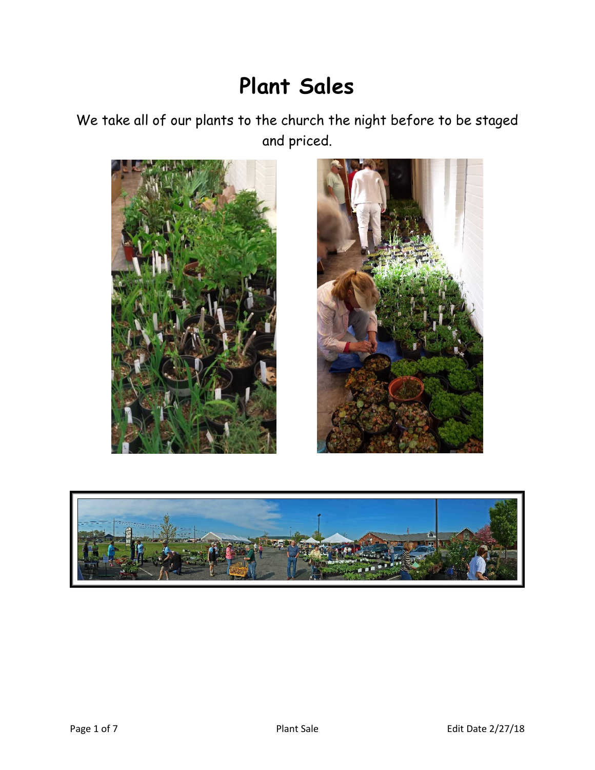## **Plant Sales**

We take all of our plants to the church the night before to be staged and priced.





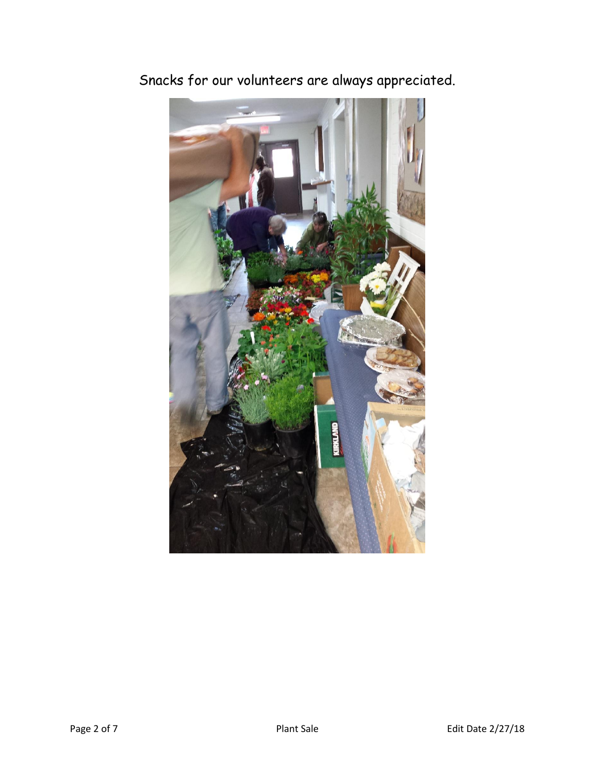

Snacks for our volunteers are always appreciated.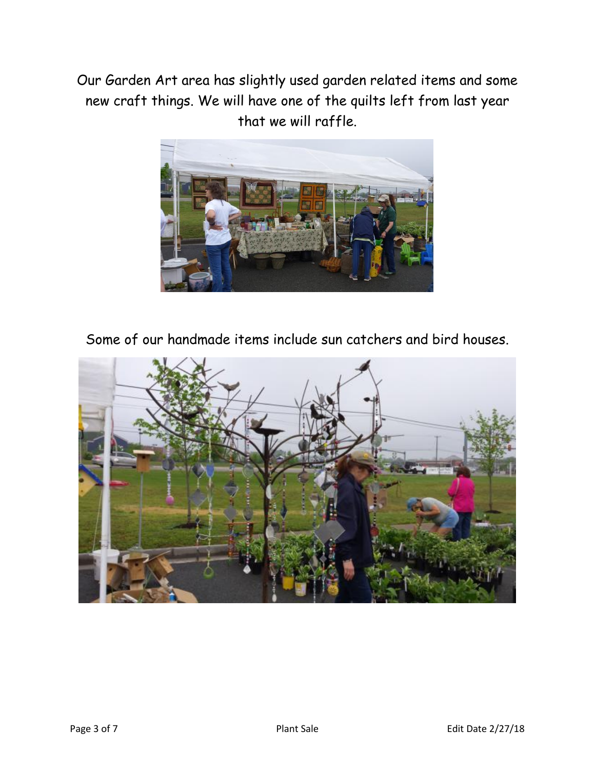Our Garden Art area has slightly used garden related items and some new craft things. We will have one of the quilts left from last year that we will raffle.



Some of our handmade items include sun catchers and bird houses.

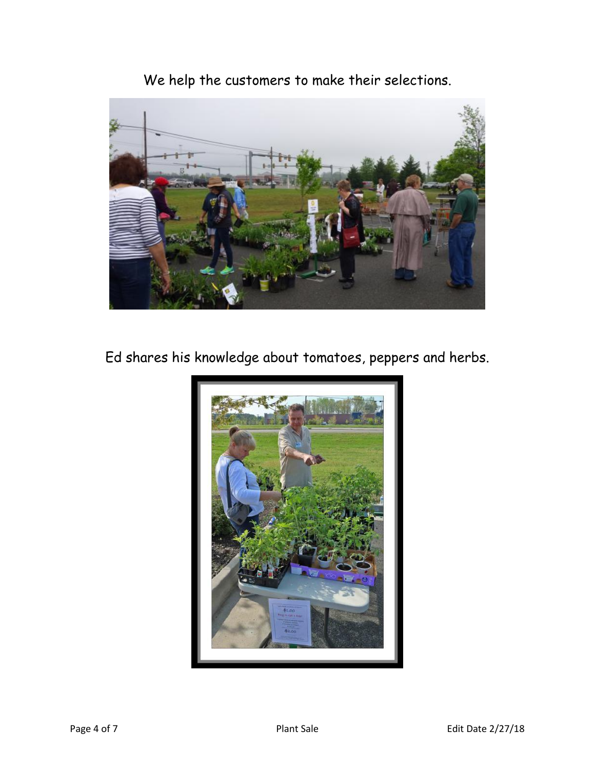We help the customers to make their selections.



Ed shares his knowledge about tomatoes, peppers and herbs.

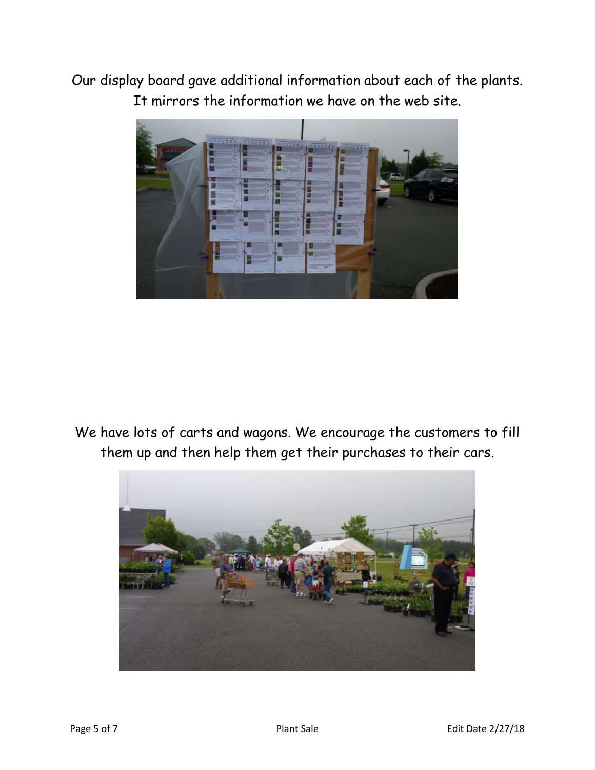Our display board gave additional information about each of the plants. It mirrors the information we have on the web site.



We have lots of carts and wagons. We encourage the customers to fill them up and then help them get their purchases to their cars.

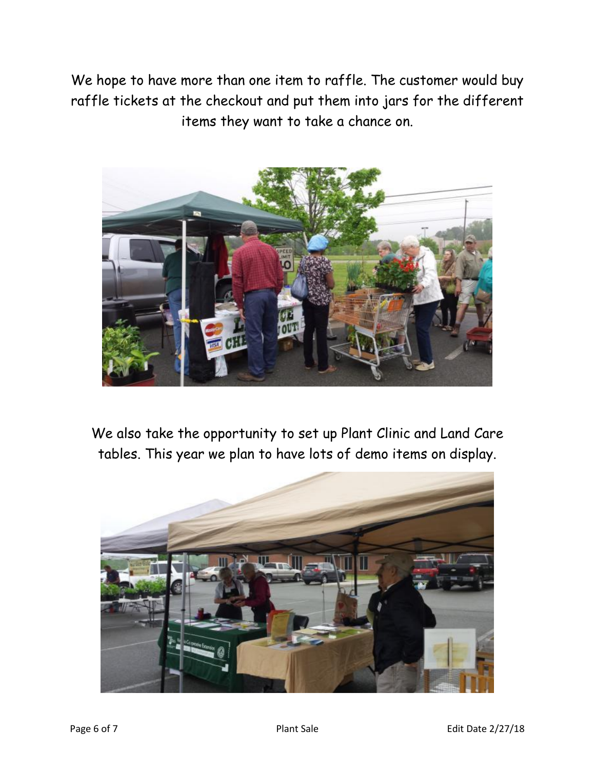We hope to have more than one item to raffle. The customer would buy raffle tickets at the checkout and put them into jars for the different items they want to take a chance on.



We also take the opportunity to set up Plant Clinic and Land Care tables. This year we plan to have lots of demo items on display.